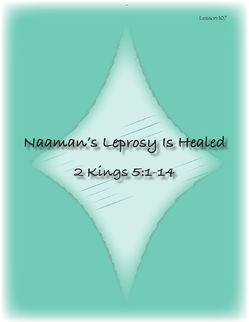# **Naaman's Leprosy Is Healed**

**2 Kings 5:1-14**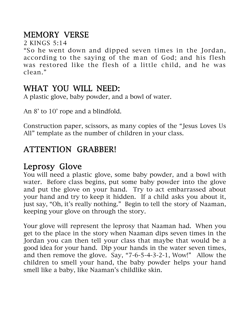# MEMORY VERSE

2 KINGS 5:14

"So he went down and dipped seven times in the Jordan, according to the saying of the man of God; and his flesh was restored like the flesh of a little child, and he was clean."

## WHAT YOU WILL NEED:

A plastic glove, baby powder, and a bowl of water.

An 8' to 10' rope and a blindfold.

Construction paper, scissors, as many copies of the "Jesus Loves Us All" template as the number of children in your class.

# ATTENTION GRABBER!

# Leprosy Glove

You will need a plastic glove, some baby powder, and a bowl with water. Before class begins, put some baby powder into the glove and put the glove on your hand. Try to act embarrassed about your hand and try to keep it hidden. If a child asks you about it, just say, "Oh, it's really nothing." Begin to tell the story of Naaman, keeping your glove on through the story.

Your glove will represent the leprosy that Naaman had. When you get to the place in the story when Naaman dips seven times in the Jordan you can then tell your class that maybe that would be a good idea for your hand. Dip your hands in the water seven times, and then remove the glove. Say, "7-6-5-4-3-2-1, Wow!" Allow the children to smell your hand, the baby powder helps your hand smell like a baby, like Naaman's childlike skin.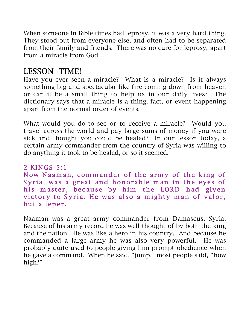When someone in Bible times had leprosy, it was a very hard thing. They stood out from everyone else, and often had to be separated from their family and friends. There was no cure for leprosy, apart from a miracle from God.

# LESSON TIME!

Have you ever seen a miracle? What is a miracle? Is it always something big and spectacular like fire coming down from heaven or can it be a small thing to help us in our daily lives? The dictionary says that a miracle is a thing, fact, or event happening apart from the normal order of events.

What would you do to see or to receive a miracle? Would you travel across the world and pay large sums of money if you were sick and thought you could be healed? In our lesson today, a certain army commander from the country of Syria was willing to do anything it took to be healed, or so it seemed.

2 KINGS 5:1 Now Naaman, commander of the army of the king of Syria, was a great and honorable man in the eyes of his master, because by him the LORD had given victory to Syria. He was also a mighty man of valor, but a leper.

Naaman was a great army commander from Damascus, Syria. Because of his army record he was well thought of by both the king and the nation. He was like a hero in his country. And because he commanded a large army he was also very powerful. He was probably quite used to people giving him prompt obedience when he gave a command. When he said, "jump," most people said, "how high?"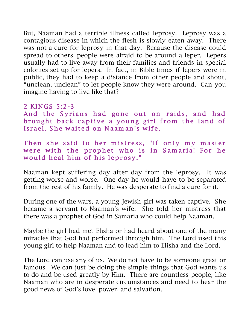But, Naaman had a terrible illness called leprosy. Leprosy was a contagious disease in which the flesh is slowly eaten away. There was not a cure for leprosy in that day. Because the disease could spread to others, people were afraid to be around a leper. Lepers usually had to live away from their families and friends in special colonies set up for lepers. In fact, in Bible times if lepers were in public, they had to keep a distance from other people and shout, "unclean, unclean" to let people know they were around. Can you imagine having to live like that?

### 2 KINGS 5:2-3

And the Syrians had gone out on raids, and had brought back captive a young girl from the land of Israel. She waited on Naaman's wife.

Then she said to her mistress, "If only my master were with the prophet who is in Samaria! For he would heal him of his leprosy."

Naaman kept suffering day after day from the leprosy. It was getting worse and worse. One day he would have to be separated from the rest of his family. He was desperate to find a cure for it.

During one of the wars, a young Jewish girl was taken captive. She became a servant to Naaman's wife. She told her mistress that there was a prophet of God in Samaria who could help Naaman.

Maybe the girl had met Elisha or had heard about one of the many miracles that God had performed through him. The Lord used this young girl to help Naaman and to lead him to Elisha and the Lord.

The Lord can use any of us. We do not have to be someone great or famous. We can just be doing the simple things that God wants us to do and be used greatly by Him. There are countless people, like Naaman who are in desperate circumstances and need to hear the good news of God's love, power, and salvation.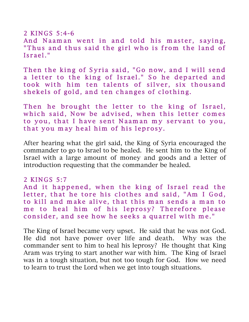$2$  KINGS 5:4-6 And Naaman went in and told his master, saying, "Thus and thus said the girl who is from the land of Israel."

Then the king of Syria said, "Go now, and I will send a letter to the king of Israel." So he departed and took with him ten talents of silver, six thousand shekels of gold, and ten changes of clothing.

Then he brought the letter to the king of Israel, which said, Now be advised, when this letter comes to you, that I have sent Naaman my servant to you, that you may heal him of his leprosy.

After hearing what the girl said, the King of Syria encouraged the commander to go to Israel to be healed. He sent him to the King of Israel with a large amount of money and goods and a letter of introduction requesting that the commander be healed.

### $2$  KINGS 5:7

And it happened, when the king of Israel read the letter, that he tore his clothes and said, "Am I God, to kill and make alive, that this man sends a man to me to heal him of his leprosy? Therefore please consider, and see how he seeks a quarrel with me."

The King of Israel became very upset. He said that he was not God. He did not have power over life and death. Why was the commander sent to him to heal his leprosy? He thought that King Aram was trying to start another war with him. The King of Israel was in a tough situation, but not too tough for God. How we need to learn to trust the Lord when we get into tough situations.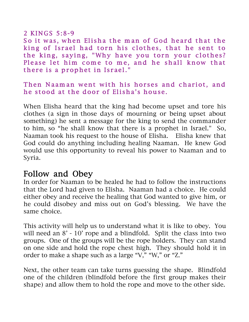### $2$  KINGS 5:8-9

So it was, when Elisha the man of God heard that the king of Israel had torn his clothes, that he sent to the king, saying, "Why have you torn your clothes? Please let him come to me, and he shall know that there is a prophet in Israel."

### Then Naaman went with his horses and chariot, and he stood at the door of Elisha's house.

When Elisha heard that the king had become upset and tore his clothes (a sign in those days of mourning or being upset about something) he sent a message for the king to send the commander to him, so "he shall know that there is a prophet in Israel." So, Naaman took his request to the house of Elisha. Elisha knew that God could do anything including healing Naaman. He knew God would use this opportunity to reveal his power to Naaman and to Syria.

### Follow and Obey

In order for Naaman to be healed he had to follow the instructions that the Lord had given to Elisha. Naaman had a choice. He could either obey and receive the healing that God wanted to give him, or he could disobey and miss out on God's blessing. We have the same choice.

This activity will help us to understand what it is like to obey. You will need an  $8'$  - 10' rope and a blindfold. Split the class into two groups. One of the groups will be the rope holders. They can stand on one side and hold the rope chest high. They should hold it in order to make a shape such as a large "V," "W," or "Z."

Next, the other team can take turns guessing the shape. Blindfold one of the children (blindfold before the first group makes their shape) and allow them to hold the rope and move to the other side.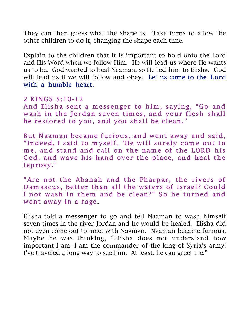They can then guess what the shape is. Take turns to allow the other children to do it, changing the shape each time.

Explain to the children that it is important to hold onto the Lord and His Word when we follow Him. He will lead us where He wants us to be. God wanted to heal Naaman, so He led him to Elisha. God will lead us if we will follow and obey. Let us come to the Lord with a humble heart.

### 2 KINGS 5:10-12

And Elisha sent a messenger to him, saying, "Go and wash in the Jordan seven times, and your flesh shall be restored to you, and you shall be clean."

But Naaman became furious, and went away and said, "Indeed, I said to myself, 'He will surely come out to me, and stand and call on the name of the LORD his God, and wave his hand over the place, and heal the leprosy.'

"Are not the Abanah and the Pharpar, the rivers of Damascus, better than all the waters of Israel? Could I not wash in them and be clean?" So he turned and went away in a rage.

Elisha told a messenger to go and tell Naaman to wash himself seven times in the river Jordan and he would be healed. Elisha did not even come out to meet with Naaman. Naaman became furious. Maybe he was thinking, "Elisha does not understand how important I am--I am the commander of the king of Syria's army! I've traveled a long way to see him. At least, he can greet me."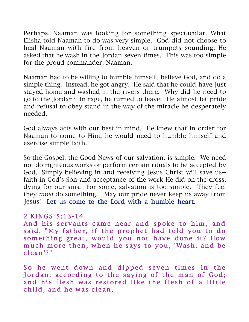Perhaps, Naaman was looking for something spectacular. What Elisha told Naaman to do was very simple. God did not choose to heal Naaman with fire from heaven or trumpets sounding; He asked that he wash in the Jordan seven times. This was too simple for the proud commander, Naaman.

Naaman had to be willing to humble himself, believe God, and do a simple thing. Instead, he got angry. He said that he could have just stayed home and washed in the rivers there. Why did he need to go to the Jordan? In rage, he turned to leave. He almost let pride and refusal to obey stand in the way of the miracle he desperately needed.

God always acts with our best in mind. He knew that in order for Naaman to come to Him, he would need to humble himself and exercise simple faith.

So the Gospel, the Good News of our salvation, is simple. We need not do righteous works or perform certain rituals to be accepted by God. Simply believing in and receiving Jesus Christ will save us- faith in God's Son and acceptance of the work He did on the cross, dying for our sins. For some, salvation is too simple. They feel they must do something. May our pride never keep us away from Jesus! Let us come to the Lord with a humble heart.

### 2 KINGS 5:13-14

And his servants came near and spoke to him, and said, "My father, if the prophet had told you to do something great, would you not have done it? How much more then, when he says to you, 'Wash, and be clean'?"

So he went down and dipped seven times in the Jordan, according to the saying of the man of God; and his flesh was restored like the flesh of a little child, and he was clean.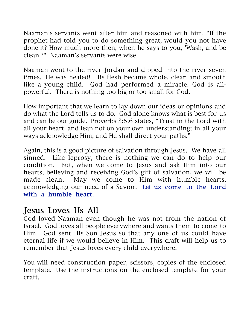Naaman's servants went after him and reasoned with him. "If the prophet had told you to do something great, would you not have done it? How much more then, when he says to you, 'Wash, and be clean'?" Naaman's servants were wise.

Naaman went to the river Jordan and dipped into the river seven times. He was healed! His flesh became whole, clean and smooth like a young child. God had performed a miracle. God is allpowerful. There is nothing too big or too small for God.

How important that we learn to lay down our ideas or opinions and do what the Lord tells us to do. God alone knows what is best for us and can be our guide. Proverbs 3:5,6 states, "Trust in the Lord with all your heart, and lean not on your own understanding; in all your ways acknowledge Him, and He shall direct your paths."

Again, this is a good picture of salvation through Jesus. We have all sinned. Like leprosy, there is nothing we can do to help our condition. But, when we come to Jesus and ask Him into our hearts, believing and receiving God's gift of salvation, we will be made clean. May we come to Him with humble hearts, acknowledging our need of a Savior. Let us come to the Lord with a humble heart.

### Jesus Loves Us All

God loved Naaman even though he was not from the nation of Israel. God loves all people everywhere and wants them to come to Him. God sent His Son Jesus so that any one of us could have eternal life if we would believe in Him. This craft will help us to remember that Jesus loves every child everywhere.

You will need construction paper, scissors, copies of the enclosed template. Use the instructions on the enclosed template for your craft.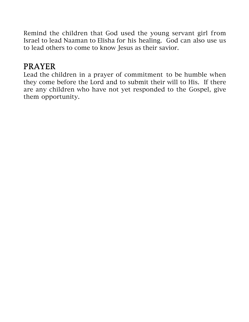Remind the children that God used the young servant girl from Israel to lead Naaman to Elisha for his healing. God can also use us to lead others to come to know Jesus as their savior.

# PRAYER

Lead the children in a prayer of commitment to be humble when they come before the Lord and to submit their will to His. If there are any children who have not yet responded to the Gospel, give them opportunity.